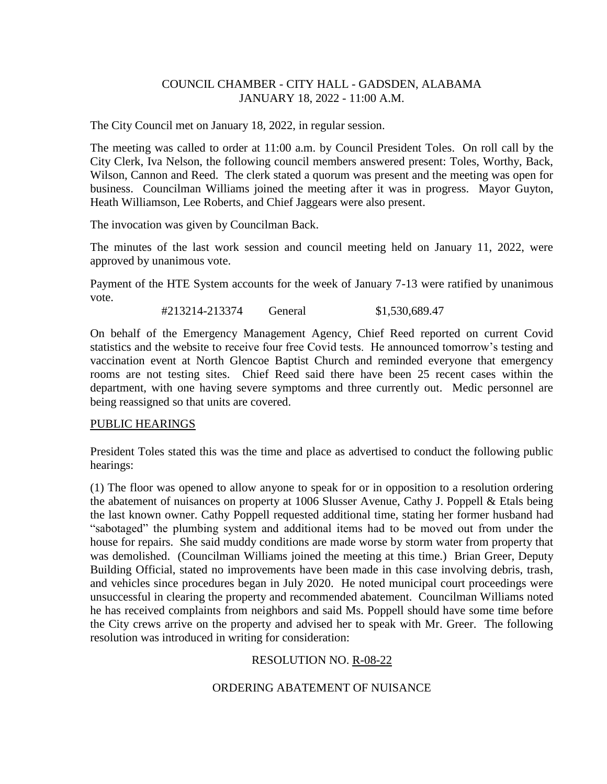## COUNCIL CHAMBER - CITY HALL - GADSDEN, ALABAMA JANUARY 18, 2022 - 11:00 A.M.

The City Council met on January 18, 2022, in regular session.

The meeting was called to order at 11:00 a.m. by Council President Toles. On roll call by the City Clerk, Iva Nelson, the following council members answered present: Toles, Worthy, Back, Wilson, Cannon and Reed. The clerk stated a quorum was present and the meeting was open for business. Councilman Williams joined the meeting after it was in progress. Mayor Guyton, Heath Williamson, Lee Roberts, and Chief Jaggears were also present.

The invocation was given by Councilman Back.

The minutes of the last work session and council meeting held on January 11, 2022, were approved by unanimous vote.

Payment of the HTE System accounts for the week of January 7-13 were ratified by unanimous vote.

#213214-213374 General \$1,530,689.47

On behalf of the Emergency Management Agency, Chief Reed reported on current Covid statistics and the website to receive four free Covid tests. He announced tomorrow's testing and vaccination event at North Glencoe Baptist Church and reminded everyone that emergency rooms are not testing sites. Chief Reed said there have been 25 recent cases within the department, with one having severe symptoms and three currently out. Medic personnel are being reassigned so that units are covered.

### PUBLIC HEARINGS

President Toles stated this was the time and place as advertised to conduct the following public hearings:

(1) The floor was opened to allow anyone to speak for or in opposition to a resolution ordering the abatement of nuisances on property at 1006 Slusser Avenue, Cathy J. Poppell & Etals being the last known owner. Cathy Poppell requested additional time, stating her former husband had "sabotaged" the plumbing system and additional items had to be moved out from under the house for repairs. She said muddy conditions are made worse by storm water from property that was demolished. (Councilman Williams joined the meeting at this time.) Brian Greer, Deputy Building Official, stated no improvements have been made in this case involving debris, trash, and vehicles since procedures began in July 2020. He noted municipal court proceedings were unsuccessful in clearing the property and recommended abatement. Councilman Williams noted he has received complaints from neighbors and said Ms. Poppell should have some time before the City crews arrive on the property and advised her to speak with Mr. Greer. The following resolution was introduced in writing for consideration:

# RESOLUTION NO. R-08-22

# ORDERING ABATEMENT OF NUISANCE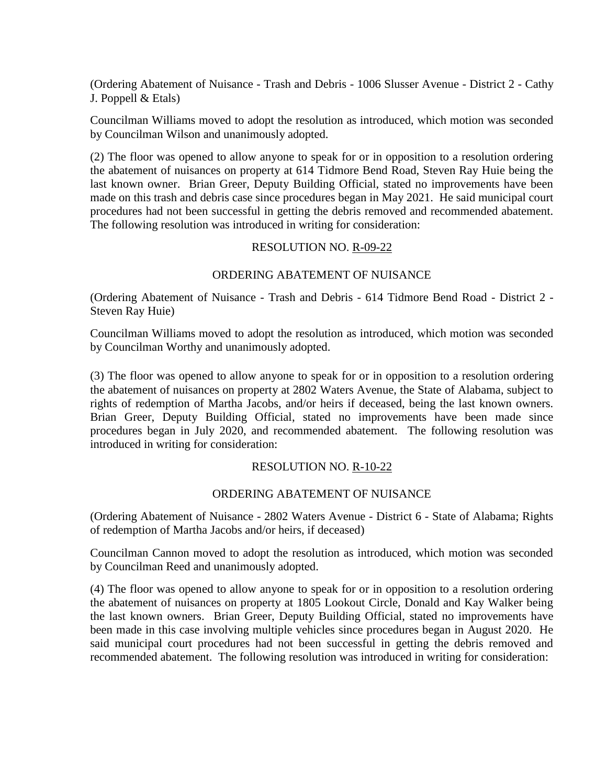(Ordering Abatement of Nuisance - Trash and Debris - 1006 Slusser Avenue - District 2 - Cathy J. Poppell & Etals)

Councilman Williams moved to adopt the resolution as introduced, which motion was seconded by Councilman Wilson and unanimously adopted.

(2) The floor was opened to allow anyone to speak for or in opposition to a resolution ordering the abatement of nuisances on property at 614 Tidmore Bend Road, Steven Ray Huie being the last known owner. Brian Greer, Deputy Building Official, stated no improvements have been made on this trash and debris case since procedures began in May 2021. He said municipal court procedures had not been successful in getting the debris removed and recommended abatement. The following resolution was introduced in writing for consideration:

### RESOLUTION NO. R-09-22

### ORDERING ABATEMENT OF NUISANCE

(Ordering Abatement of Nuisance - Trash and Debris - 614 Tidmore Bend Road - District 2 - Steven Ray Huie)

Councilman Williams moved to adopt the resolution as introduced, which motion was seconded by Councilman Worthy and unanimously adopted.

(3) The floor was opened to allow anyone to speak for or in opposition to a resolution ordering the abatement of nuisances on property at 2802 Waters Avenue, the State of Alabama, subject to rights of redemption of Martha Jacobs, and/or heirs if deceased, being the last known owners. Brian Greer, Deputy Building Official, stated no improvements have been made since procedures began in July 2020, and recommended abatement. The following resolution was introduced in writing for consideration:

### RESOLUTION NO. R-10-22

### ORDERING ABATEMENT OF NUISANCE

(Ordering Abatement of Nuisance - 2802 Waters Avenue - District 6 - State of Alabama; Rights of redemption of Martha Jacobs and/or heirs, if deceased)

Councilman Cannon moved to adopt the resolution as introduced, which motion was seconded by Councilman Reed and unanimously adopted.

(4) The floor was opened to allow anyone to speak for or in opposition to a resolution ordering the abatement of nuisances on property at 1805 Lookout Circle, Donald and Kay Walker being the last known owners. Brian Greer, Deputy Building Official, stated no improvements have been made in this case involving multiple vehicles since procedures began in August 2020. He said municipal court procedures had not been successful in getting the debris removed and recommended abatement. The following resolution was introduced in writing for consideration: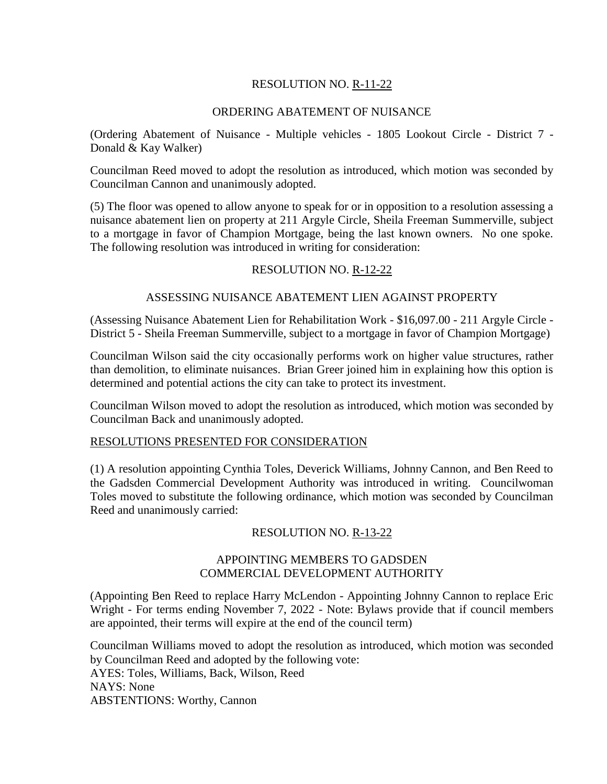# RESOLUTION NO. R-11-22

## ORDERING ABATEMENT OF NUISANCE

(Ordering Abatement of Nuisance - Multiple vehicles - 1805 Lookout Circle - District 7 - Donald & Kay Walker)

Councilman Reed moved to adopt the resolution as introduced, which motion was seconded by Councilman Cannon and unanimously adopted.

(5) The floor was opened to allow anyone to speak for or in opposition to a resolution assessing a nuisance abatement lien on property at 211 Argyle Circle, Sheila Freeman Summerville, subject to a mortgage in favor of Champion Mortgage, being the last known owners. No one spoke. The following resolution was introduced in writing for consideration:

### RESOLUTION NO. R-12-22

### ASSESSING NUISANCE ABATEMENT LIEN AGAINST PROPERTY

(Assessing Nuisance Abatement Lien for Rehabilitation Work - \$16,097.00 - 211 Argyle Circle - District 5 - Sheila Freeman Summerville, subject to a mortgage in favor of Champion Mortgage)

Councilman Wilson said the city occasionally performs work on higher value structures, rather than demolition, to eliminate nuisances. Brian Greer joined him in explaining how this option is determined and potential actions the city can take to protect its investment.

Councilman Wilson moved to adopt the resolution as introduced, which motion was seconded by Councilman Back and unanimously adopted.

### RESOLUTIONS PRESENTED FOR CONSIDERATION

(1) A resolution appointing Cynthia Toles, Deverick Williams, Johnny Cannon, and Ben Reed to the Gadsden Commercial Development Authority was introduced in writing. Councilwoman Toles moved to substitute the following ordinance, which motion was seconded by Councilman Reed and unanimously carried:

### RESOLUTION NO. R-13-22

### APPOINTING MEMBERS TO GADSDEN COMMERCIAL DEVELOPMENT AUTHORITY

(Appointing Ben Reed to replace Harry McLendon - Appointing Johnny Cannon to replace Eric Wright - For terms ending November 7, 2022 - Note: Bylaws provide that if council members are appointed, their terms will expire at the end of the council term)

Councilman Williams moved to adopt the resolution as introduced, which motion was seconded by Councilman Reed and adopted by the following vote: AYES: Toles, Williams, Back, Wilson, Reed NAYS: None

ABSTENTIONS: Worthy, Cannon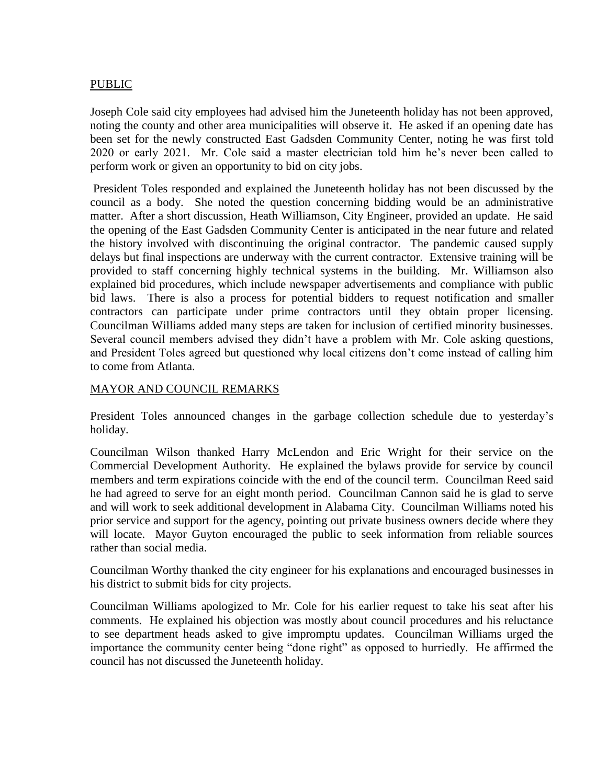# PUBLIC

Joseph Cole said city employees had advised him the Juneteenth holiday has not been approved, noting the county and other area municipalities will observe it. He asked if an opening date has been set for the newly constructed East Gadsden Community Center, noting he was first told 2020 or early 2021. Mr. Cole said a master electrician told him he's never been called to perform work or given an opportunity to bid on city jobs.

President Toles responded and explained the Juneteenth holiday has not been discussed by the council as a body. She noted the question concerning bidding would be an administrative matter. After a short discussion, Heath Williamson, City Engineer, provided an update. He said the opening of the East Gadsden Community Center is anticipated in the near future and related the history involved with discontinuing the original contractor. The pandemic caused supply delays but final inspections are underway with the current contractor. Extensive training will be provided to staff concerning highly technical systems in the building. Mr. Williamson also explained bid procedures, which include newspaper advertisements and compliance with public bid laws. There is also a process for potential bidders to request notification and smaller contractors can participate under prime contractors until they obtain proper licensing. Councilman Williams added many steps are taken for inclusion of certified minority businesses. Several council members advised they didn't have a problem with Mr. Cole asking questions, and President Toles agreed but questioned why local citizens don't come instead of calling him to come from Atlanta.

### MAYOR AND COUNCIL REMARKS

President Toles announced changes in the garbage collection schedule due to yesterday's holiday.

Councilman Wilson thanked Harry McLendon and Eric Wright for their service on the Commercial Development Authority. He explained the bylaws provide for service by council members and term expirations coincide with the end of the council term. Councilman Reed said he had agreed to serve for an eight month period. Councilman Cannon said he is glad to serve and will work to seek additional development in Alabama City. Councilman Williams noted his prior service and support for the agency, pointing out private business owners decide where they will locate. Mayor Guyton encouraged the public to seek information from reliable sources rather than social media.

Councilman Worthy thanked the city engineer for his explanations and encouraged businesses in his district to submit bids for city projects.

Councilman Williams apologized to Mr. Cole for his earlier request to take his seat after his comments. He explained his objection was mostly about council procedures and his reluctance to see department heads asked to give impromptu updates. Councilman Williams urged the importance the community center being "done right" as opposed to hurriedly. He affirmed the council has not discussed the Juneteenth holiday.